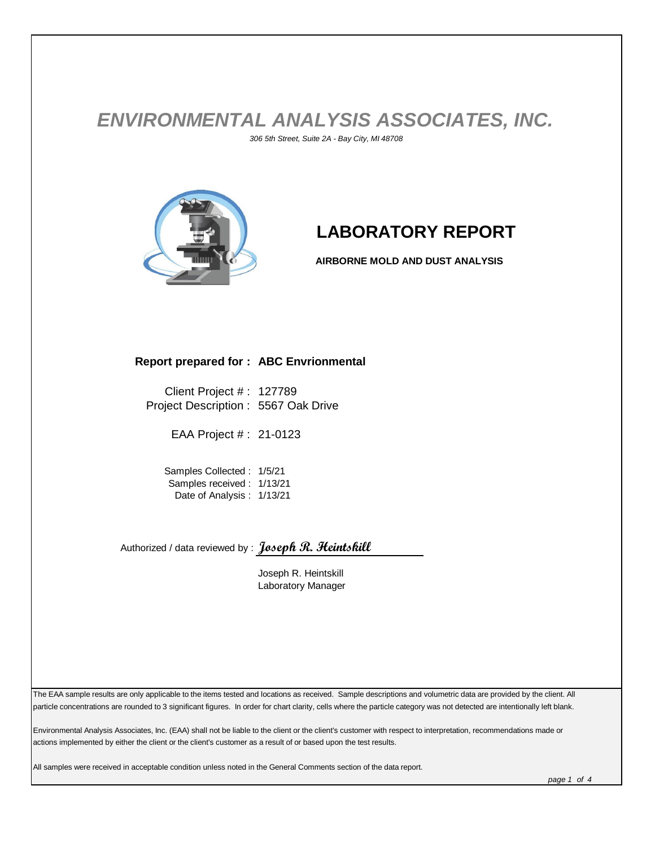## *ENVIRONMENTAL ANALYSIS ASSOCIATES, INC. 306 5th Street, Suite 2A - Bay City, MI 48708*



## **LABORATORY REPORT**

**AIRBORNE MOLD AND DUST ANALYSIS**

## **Report prepared for : ABC Envrionmental**

Client Project # : 127789 Project Description : 5567 Oak Drive

EAA Project # : 21-0123

Samples Collected : 1/5/21 Samples received : 1/13/21 Date of Analysis : 1/13/21

Authorized / data reviewed by : **Joseph R. Heintskill**

Joseph R. Heintskill Laboratory Manager

The EAA sample results are only applicable to the items tested and locations as received. Sample descriptions and volumetric data are provided by the client. All particle concentrations are rounded to 3 significant figures. In order for chart clarity, cells where the particle category was not detected are intentionally left blank.

Environmental Analysis Associates, Inc. (EAA) shall not be liable to the client or the client's customer with respect to interpretation, recommendations made or actions implemented by either the client or the client's customer as a result of or based upon the test results.

All samples were received in acceptable condition unless noted in the General Comments section of the data report.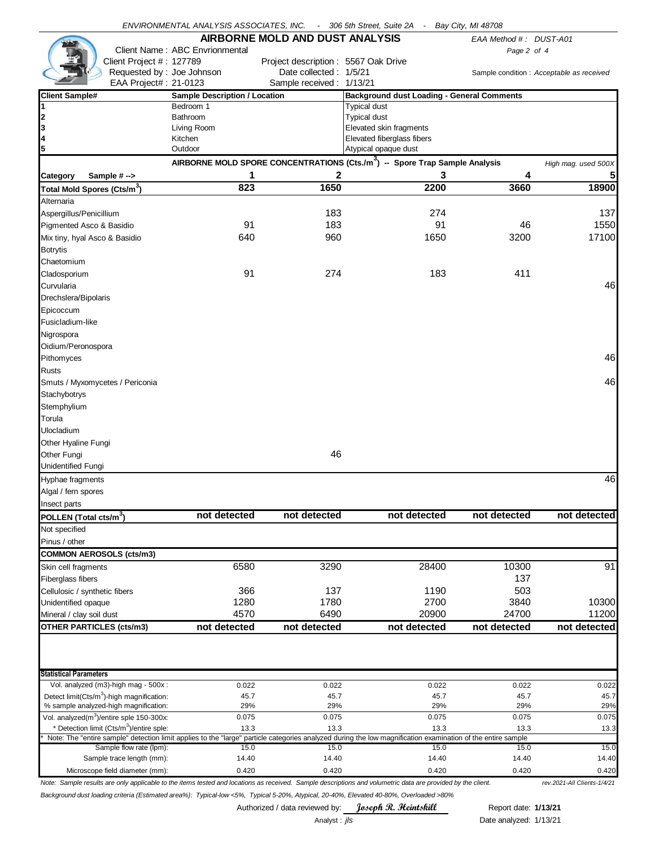|                                                                                                                                                             | ENVIRONMENTAL ANALYSIS ASSOCIATES, INC.                                                 |                                     | - 306 5th Street, Suite 2A - Bay City, MI 48708   |             |                        |                                           |  |  |
|-------------------------------------------------------------------------------------------------------------------------------------------------------------|-----------------------------------------------------------------------------------------|-------------------------------------|---------------------------------------------------|-------------|------------------------|-------------------------------------------|--|--|
|                                                                                                                                                             |                                                                                         | AIRBORNE MOLD AND DUST ANALYSIS     |                                                   |             | EAA Method #: DUST-A01 |                                           |  |  |
|                                                                                                                                                             | Client Name: ABC Envrionmental                                                          |                                     |                                                   | Page 2 of 4 |                        |                                           |  |  |
| Client Project #: 127789                                                                                                                                    |                                                                                         | Project description: 5567 Oak Drive |                                                   |             |                        |                                           |  |  |
| Requested by: Joe Johnson                                                                                                                                   |                                                                                         | Date collected: 1/5/21              |                                                   |             |                        | Sample condition : Acceptable as received |  |  |
| EAA Project#: 21-0123                                                                                                                                       |                                                                                         | Sample received: 1/13/21            |                                                   |             |                        |                                           |  |  |
| <b>Client Sample#</b>                                                                                                                                       | <b>Sample Description / Location</b>                                                    |                                     | <b>Background dust Loading - General Comments</b> |             |                        |                                           |  |  |
| 1                                                                                                                                                           | Bedroom 1                                                                               |                                     | <b>Typical dust</b>                               |             |                        |                                           |  |  |
| 2                                                                                                                                                           | <b>Bathroom</b>                                                                         |                                     | <b>Typical dust</b>                               |             |                        |                                           |  |  |
| 3                                                                                                                                                           | Living Room                                                                             |                                     | Elevated skin fragments                           |             |                        |                                           |  |  |
| 4                                                                                                                                                           | Kitchen                                                                                 | Elevated fiberglass fibers          |                                                   |             |                        |                                           |  |  |
| 5                                                                                                                                                           | Outdoor                                                                                 |                                     | Atypical opaque dust                              |             |                        |                                           |  |  |
|                                                                                                                                                             | AIRBORNE MOLD SPORE CONCENTRATIONS (Cts./m <sup>3</sup> ) -- Spore Trap Sample Analysis |                                     |                                                   |             |                        | High mag. used 500X                       |  |  |
| Category<br>Sample #->                                                                                                                                      | 1                                                                                       | 2                                   |                                                   | 3           | 4                      | 5                                         |  |  |
| Total Mold Spores (Cts/m <sup>3</sup> )                                                                                                                     | 823                                                                                     | 1650                                |                                                   | 2200        | 3660                   | 18900                                     |  |  |
| Alternaria                                                                                                                                                  |                                                                                         |                                     |                                                   |             |                        |                                           |  |  |
| Aspergillus/Penicillium                                                                                                                                     |                                                                                         | 183                                 |                                                   | 274         |                        | 137                                       |  |  |
| Pigmented Asco & Basidio                                                                                                                                    | 91                                                                                      | 183                                 |                                                   | 91          | 46                     | 1550                                      |  |  |
| Mix tiny, hyal Asco & Basidio                                                                                                                               | 640                                                                                     | 960                                 |                                                   | 1650        | 3200                   | 17100                                     |  |  |
| <b>Botrytis</b>                                                                                                                                             |                                                                                         |                                     |                                                   |             |                        |                                           |  |  |
| Chaetomium                                                                                                                                                  |                                                                                         |                                     |                                                   |             |                        |                                           |  |  |
|                                                                                                                                                             | 91                                                                                      | 274                                 |                                                   | 183         | 411                    |                                           |  |  |
| Cladosporium                                                                                                                                                |                                                                                         |                                     |                                                   |             |                        | 46                                        |  |  |
| Curvularia                                                                                                                                                  |                                                                                         |                                     |                                                   |             |                        |                                           |  |  |
| Drechslera/Bipolaris                                                                                                                                        |                                                                                         |                                     |                                                   |             |                        |                                           |  |  |
| Epicoccum                                                                                                                                                   |                                                                                         |                                     |                                                   |             |                        |                                           |  |  |
| Fusicladium-like                                                                                                                                            |                                                                                         |                                     |                                                   |             |                        |                                           |  |  |
| Nigrospora                                                                                                                                                  |                                                                                         |                                     |                                                   |             |                        |                                           |  |  |
| Oidium/Peronospora                                                                                                                                          |                                                                                         |                                     |                                                   |             |                        |                                           |  |  |
| Pithomyces                                                                                                                                                  |                                                                                         |                                     |                                                   |             |                        | 46                                        |  |  |
| <b>Rusts</b>                                                                                                                                                |                                                                                         |                                     |                                                   |             |                        |                                           |  |  |
| Smuts / Myxomycetes / Periconia                                                                                                                             |                                                                                         |                                     |                                                   |             |                        | 46                                        |  |  |
| Stachybotrys                                                                                                                                                |                                                                                         |                                     |                                                   |             |                        |                                           |  |  |
| Stemphylium                                                                                                                                                 |                                                                                         |                                     |                                                   |             |                        |                                           |  |  |
| Torula                                                                                                                                                      |                                                                                         |                                     |                                                   |             |                        |                                           |  |  |
| Ulocladium                                                                                                                                                  |                                                                                         |                                     |                                                   |             |                        |                                           |  |  |
| Other Hyaline Fungi                                                                                                                                         |                                                                                         |                                     |                                                   |             |                        |                                           |  |  |
| Other Fungi                                                                                                                                                 |                                                                                         | 46                                  |                                                   |             |                        |                                           |  |  |
|                                                                                                                                                             |                                                                                         |                                     |                                                   |             |                        |                                           |  |  |
| Unidentified Fungi                                                                                                                                          |                                                                                         |                                     |                                                   |             |                        |                                           |  |  |
| Hyphae fragments                                                                                                                                            |                                                                                         |                                     |                                                   |             |                        | 46                                        |  |  |
| Algal / fern spores                                                                                                                                         |                                                                                         |                                     |                                                   |             |                        |                                           |  |  |
| Insect parts                                                                                                                                                |                                                                                         |                                     |                                                   |             |                        |                                           |  |  |
| POLLEN (Total cts/m <sup>3</sup> )                                                                                                                          | not detected                                                                            | not detected                        | not detected                                      |             | not detected           | not detected                              |  |  |
| Not specified                                                                                                                                               |                                                                                         |                                     |                                                   |             |                        |                                           |  |  |
| Pinus / other                                                                                                                                               |                                                                                         |                                     |                                                   |             |                        |                                           |  |  |
| <b>COMMON AEROSOLS (cts/m3)</b>                                                                                                                             |                                                                                         |                                     |                                                   |             |                        |                                           |  |  |
| Skin cell fragments                                                                                                                                         | 6580                                                                                    | 3290                                |                                                   | 28400       | 10300                  | 91                                        |  |  |
| Fiberglass fibers                                                                                                                                           |                                                                                         |                                     |                                                   |             | 137                    |                                           |  |  |
| Cellulosic / synthetic fibers                                                                                                                               | 366                                                                                     | 137                                 |                                                   | 1190        | 503                    |                                           |  |  |
| Unidentified opaque                                                                                                                                         | 1280                                                                                    | 1780                                |                                                   | 2700        | 3840                   | 10300                                     |  |  |
| Mineral / clay soil dust                                                                                                                                    | 4570                                                                                    | 6490                                |                                                   | 20900       | 24700                  | 11200                                     |  |  |
| <b>OTHER PARTICLES (cts/m3)</b>                                                                                                                             | not detected                                                                            | not detected                        | not detected                                      |             | not detected           | not detected                              |  |  |
|                                                                                                                                                             |                                                                                         |                                     |                                                   |             |                        |                                           |  |  |
| <b>Statistical Parameters</b>                                                                                                                               |                                                                                         |                                     |                                                   |             |                        |                                           |  |  |
| Vol. analyzed (m3)-high mag - 500x :                                                                                                                        | 0.022                                                                                   | 0.022                               |                                                   | 0.022       | 0.022                  | 0.022                                     |  |  |
| Detect limit(Cts/m <sup>3</sup> )-high magnification:                                                                                                       | 45.7                                                                                    | 45.7                                |                                                   | 45.7        | 45.7                   | 45.7                                      |  |  |
| % sample analyzed-high magnification:                                                                                                                       | 29%                                                                                     | 29%                                 |                                                   | 29%         | 29%                    | 29%                                       |  |  |
| Vol. analyzed $(m^3)$ /entire sple 150-300x:                                                                                                                | 0.075                                                                                   | 0.075                               |                                                   | 0.075       | 0.075                  | 0.075                                     |  |  |
| * Detection limit (Cts/m <sup>3</sup> )/entire sple:                                                                                                        | 13.3                                                                                    | 13.3                                |                                                   | 13.3        | 13.3                   | 13.3                                      |  |  |
| Note: The "entire sample" detection limit applies to the "large" particle categories analyzed during the low magnification examination of the entire sample |                                                                                         |                                     |                                                   |             |                        |                                           |  |  |
| Sample flow rate (lpm):                                                                                                                                     | 15.0                                                                                    | 15.0                                |                                                   | 15.0        | 15.0                   | 15.0                                      |  |  |
| Sample trace length (mm):                                                                                                                                   | 14.40                                                                                   | 14.40                               |                                                   | 14.40       | 14.40                  | 14.40                                     |  |  |
| Microscope field diameter (mm):                                                                                                                             | 0.420                                                                                   | 0.420                               |                                                   | 0.420       | 0.420                  | 0.420                                     |  |  |

*Note: Sample results are only applicable to the items tested and locations as received. Sample descriptions and volumetric data are provided by the client. rev.2021-All Clients-1/4/21 Background dust loading criteria (Estimated area%): Typical-low <5%, Typical 5-20%, Atypical, 20-40%, Elevated 40-80%, Overloaded >80%*

Authorized / data reviewed by: **Joseph R. Heintskill** Report date: 1/13/21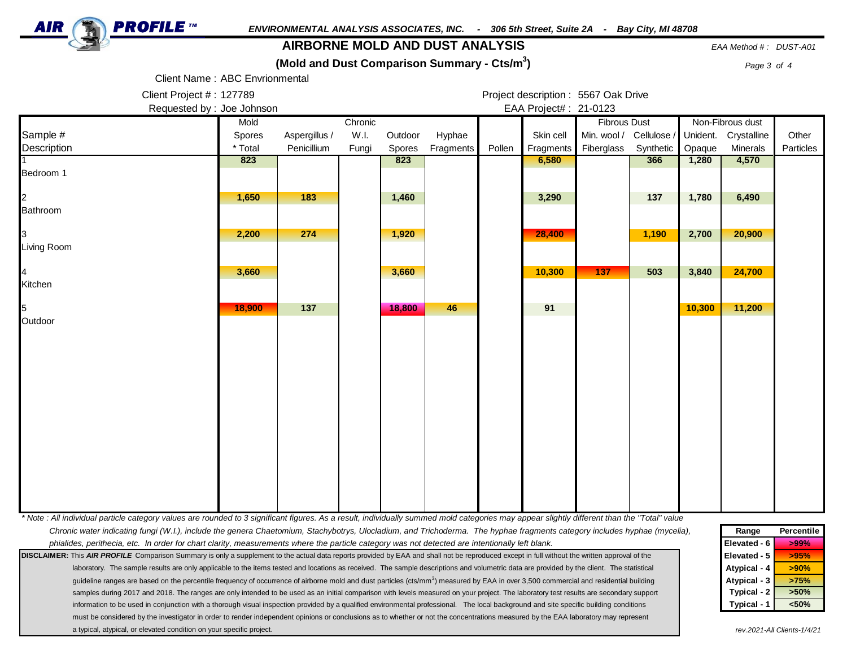

## **AIRBORNE MOLD AND DUST ANALYSIS** *EAA Method # : DUST-A01*

**(Mold and Dust Comparison Summary - Cts/m<sup>3</sup>**

**)** *Page 3 of 4*

Client Name : ABC Envrionmental

Client Project #: 127789 **Project description : 5567 Oak Drive** Requested by : Joe Johnson **EAA Project# : 21-0123** 

|                                                                                                                                                                                                                                                                                                                                                   | Mold    |               | Chronic |               |           |        |           | <b>Fibrous Dust</b>         |                    |          | Non-Fibrous dust |           |
|---------------------------------------------------------------------------------------------------------------------------------------------------------------------------------------------------------------------------------------------------------------------------------------------------------------------------------------------------|---------|---------------|---------|---------------|-----------|--------|-----------|-----------------------------|--------------------|----------|------------------|-----------|
| Sample #                                                                                                                                                                                                                                                                                                                                          | Spores  | Aspergillus / | W.I.    | Outdoor       | Hyphae    |        | Skin cell | Min. wool / Cellulose /     |                    | Unident. | Crystalline      | Other     |
| Description                                                                                                                                                                                                                                                                                                                                       | * Total | Penicillium   | Fungi   | <b>Spores</b> | Fragments | Pollen | Fragments | Fiberglass                  | Synthetic          | Opaque   | Minerals         | Particles |
|                                                                                                                                                                                                                                                                                                                                                   | 823     |               |         | 823           |           |        | 6,580     |                             | 366                | 1,280    | 4,570            |           |
| Bedroom 1                                                                                                                                                                                                                                                                                                                                         |         |               |         |               |           |        |           |                             |                    |          |                  |           |
|                                                                                                                                                                                                                                                                                                                                                   |         |               |         |               |           |        |           |                             |                    |          |                  |           |
|                                                                                                                                                                                                                                                                                                                                                   | 1,650   | 183           |         | 1,460         |           |        | 3,290     |                             | 137                | 1,780    | 6,490            |           |
| Bathroom                                                                                                                                                                                                                                                                                                                                          |         |               |         |               |           |        |           |                             |                    |          |                  |           |
|                                                                                                                                                                                                                                                                                                                                                   | 2,200   | 274           |         | 1,920         |           |        | 28,400    |                             | 1,190              | 2,700    | 20,900           |           |
| Living Room                                                                                                                                                                                                                                                                                                                                       |         |               |         |               |           |        |           |                             |                    |          |                  |           |
|                                                                                                                                                                                                                                                                                                                                                   |         |               |         |               |           |        |           |                             |                    |          |                  |           |
|                                                                                                                                                                                                                                                                                                                                                   | 3,660   |               |         | 3,660         |           |        | 10,300    | 137                         | 503                | 3,840    | 24,700           |           |
| Kitchen                                                                                                                                                                                                                                                                                                                                           |         |               |         |               |           |        |           |                             |                    |          |                  |           |
|                                                                                                                                                                                                                                                                                                                                                   |         |               |         |               |           |        |           |                             |                    |          |                  |           |
|                                                                                                                                                                                                                                                                                                                                                   | 18,900  | 137           |         | 18,800        | 46        |        | 91        |                             |                    | 10,300   | 11,200           |           |
| Outdoor                                                                                                                                                                                                                                                                                                                                           |         |               |         |               |           |        |           |                             |                    |          |                  |           |
|                                                                                                                                                                                                                                                                                                                                                   |         |               |         |               |           |        |           |                             |                    |          |                  |           |
|                                                                                                                                                                                                                                                                                                                                                   |         |               |         |               |           |        |           |                             |                    |          |                  |           |
|                                                                                                                                                                                                                                                                                                                                                   |         |               |         |               |           |        |           |                             |                    |          |                  |           |
|                                                                                                                                                                                                                                                                                                                                                   |         |               |         |               |           |        |           |                             |                    |          |                  |           |
|                                                                                                                                                                                                                                                                                                                                                   |         |               |         |               |           |        |           |                             |                    |          |                  |           |
|                                                                                                                                                                                                                                                                                                                                                   |         |               |         |               |           |        |           |                             |                    |          |                  |           |
|                                                                                                                                                                                                                                                                                                                                                   |         |               |         |               |           |        |           |                             |                    |          |                  |           |
|                                                                                                                                                                                                                                                                                                                                                   |         |               |         |               |           |        |           |                             |                    |          |                  |           |
|                                                                                                                                                                                                                                                                                                                                                   |         |               |         |               |           |        |           |                             |                    |          |                  |           |
|                                                                                                                                                                                                                                                                                                                                                   |         |               |         |               |           |        |           |                             |                    |          |                  |           |
|                                                                                                                                                                                                                                                                                                                                                   |         |               |         |               |           |        |           |                             |                    |          |                  |           |
|                                                                                                                                                                                                                                                                                                                                                   |         |               |         |               |           |        |           |                             |                    |          |                  |           |
|                                                                                                                                                                                                                                                                                                                                                   |         |               |         |               |           |        |           |                             |                    |          |                  |           |
|                                                                                                                                                                                                                                                                                                                                                   |         |               |         |               |           |        |           |                             |                    |          |                  |           |
| * Note : All individual particle category values are rounded to 3 significant figures. As a result, individually summed mold categories may appear slightly different than the "Total" value                                                                                                                                                      |         |               |         |               |           |        |           |                             |                    |          |                  |           |
| Chronic water indicating fungi (W.I.), include the genera Chaetomium, Stachybotrys, Ulocladium, and Trichoderma. The hyphae fragments category includes hyphae (mycelia),                                                                                                                                                                         |         |               |         |               |           |        |           | Range<br>Elevated - 6       | Percentile<br>>99% |          |                  |           |
| phialides, perithecia, etc. In order for chart clarity, measurements where the particle category was not detected are intentionally left blank.<br>DISCLAIMER: This AIR PROFILE Comparison Summary is only a supplement to the actual data reports provided by EAA and shall not be reproduced except in full without the written approval of the |         |               |         |               |           |        |           |                             | Elevated - 5       | >95%     |                  |           |
| laboratory. The sample results are only applicable to the items tested and locations as received. The sample descriptions and volumetric data are provided by the client. The statistical                                                                                                                                                         |         |               |         |               |           |        |           |                             | Atypical - 4       | >90%     |                  |           |
| guideline ranges are based on the percentile frequency of occurrence of airborne mold and dust particles (cts/mm <sup>3</sup> ) measured by EAA in over 3,500 commercial and residential building                                                                                                                                                 |         |               |         |               |           |        |           |                             | Atypical - 3       | >75%     |                  |           |
| samples during 2017 and 2018. The ranges are only intended to be used as an initial comparison with levels measured on your project. The laboratory test results are secondary support                                                                                                                                                            |         |               |         |               |           |        |           |                             | Typical - 2        | >50%     |                  |           |
| information to be used in conjunction with a thorough visual inspection provided by a qualified environmental professional. The local background and site specific building conditions                                                                                                                                                            |         |               |         |               |           |        |           |                             | Typical - 1        | < 50%    |                  |           |
| must be considered by the investigator in order to render independent opinions or conclusions as to whether or not the concentrations measured by the EAA laboratory may represent                                                                                                                                                                |         |               |         |               |           |        |           |                             |                    |          |                  |           |
| a typical, atypical, or elevated condition on your specific project.                                                                                                                                                                                                                                                                              |         |               |         |               |           |        |           | rev.2021-All Clients-1/4/21 |                    |          |                  |           |